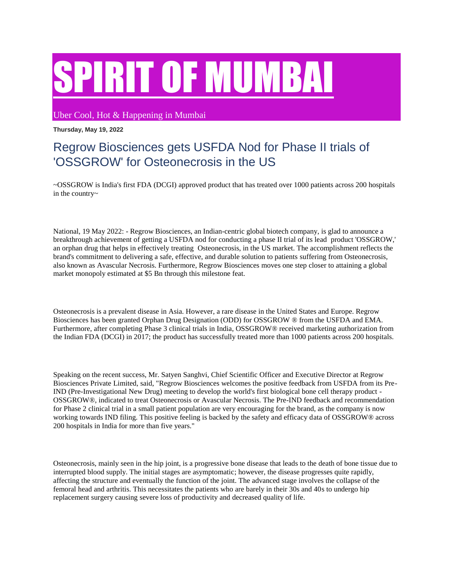## IRIT OF MUMBAI

Uber Cool, Hot & Happening in Mumbai

## **Thursday, May 19, 2022**

## Regrow Biosciences gets USFDA Nod for Phase II trials of 'OSSGROW' for Osteonecrosis in the US

~OSSGROW is India's first FDA (DCGI) approved product that has treated over 1000 patients across 200 hospitals in the country~

National, 19 May 2022: - Regrow Biosciences, an Indian-centric global biotech company, is glad to announce a breakthrough achievement of getting a USFDA nod for conducting a phase II trial of its lead product 'OSSGROW,' an orphan drug that helps in effectively treating Osteonecrosis, in the US market. The accomplishment reflects the brand's commitment to delivering a safe, effective, and durable solution to patients suffering from Osteonecrosis, also known as Avascular Necrosis. Furthermore, Regrow Biosciences moves one step closer to attaining a global market monopoly estimated at \$5 Bn through this milestone feat.

Osteonecrosis is a prevalent disease in Asia. However, a rare disease in the United States and Europe. Regrow Biosciences has been granted Orphan Drug Designation (ODD) for OSSGROW ® from the USFDA and EMA. Furthermore, after completing Phase 3 clinical trials in India, OSSGROW® received marketing authorization from the Indian FDA (DCGI) in 2017; the product has successfully treated more than 1000 patients across 200 hospitals.

Speaking on the recent success, Mr. Satyen Sanghvi, Chief Scientific Officer and Executive Director at Regrow Biosciences Private Limited, said, "Regrow Biosciences welcomes the positive feedback from USFDA from its Pre-IND (Pre-Investigational New Drug) meeting to develop the world's first biological bone cell therapy product - OSSGROW®, indicated to treat Osteonecrosis or Avascular Necrosis. The Pre-IND feedback and recommendation for Phase 2 clinical trial in a small patient population are very encouraging for the brand, as the company is now working towards IND filing. This positive feeling is backed by the safety and efficacy data of OSSGROW® across 200 hospitals in India for more than five years."

Osteonecrosis, mainly seen in the hip joint, is a progressive bone disease that leads to the death of bone tissue due to interrupted blood supply. The initial stages are asymptomatic; however, the disease progresses quite rapidly, affecting the structure and eventually the function of the joint. The advanced stage involves the collapse of the femoral head and arthritis. This necessitates the patients who are barely in their 30s and 40s to undergo hip replacement surgery causing severe loss of productivity and decreased quality of life.